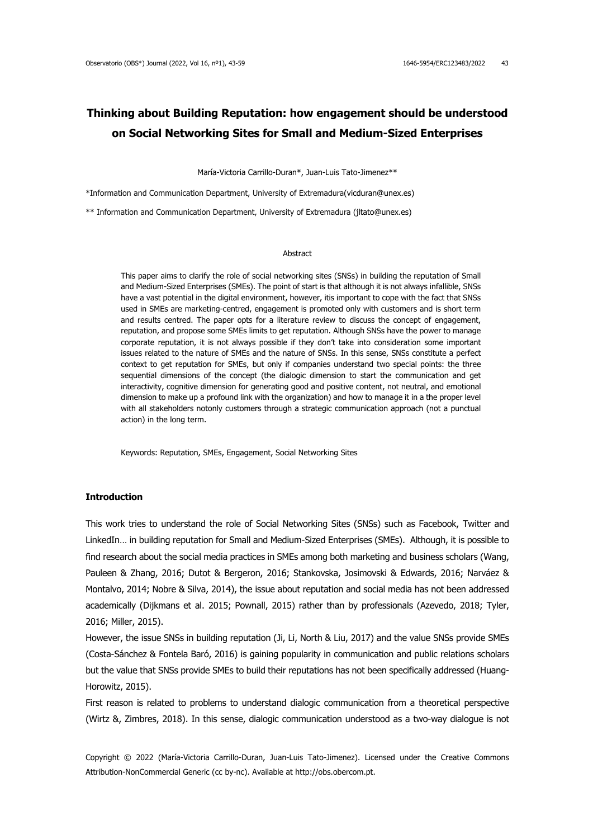# **Thinking about Building Reputation: how engagement should be understood on Social Networking Sites for Small and Medium-Sized Enterprises**

María-Victoria Carrillo-Duran\*, Juan-Luis Tato-Jimenez\*\*

\*Information and Communication Department, University of Extremadura(vicduran@unex.es)

\*\* Information and Communication Department, University of Extremadura (jltato@unex.es)

#### Abstract

This paper aims to clarify the role of social networking sites (SNSs) in building the reputation of Small and Medium-Sized Enterprises (SMEs). The point of start is that although it is not always infallible, SNSs have a vast potential in the digital environment, however, itis important to cope with the fact that SNSs used in SMEs are marketing-centred, engagement is promoted only with customers and is short term and results centred. The paper opts for a literature review to discuss the concept of engagement, reputation, and propose some SMEs limits to get reputation. Although SNSs have the power to manage corporate reputation, it is not always possible if they don't take into consideration some important issues related to the nature of SMEs and the nature of SNSs. In this sense, SNSs constitute a perfect context to get reputation for SMEs, but only if companies understand two special points: the three sequential dimensions of the concept (the dialogic dimension to start the communication and get interactivity, cognitive dimension for generating good and positive content, not neutral, and emotional dimension to make up a profound link with the organization) and how to manage it in a the proper level with all stakeholders notonly customers through a strategic communication approach (not a punctual action) in the long term.

Keywords: Reputation, SMEs, Engagement, Social Networking Sites

## **Introduction**

This work tries to understand the role of Social Networking Sites (SNSs) such as Facebook, Twitter and LinkedIn… in building reputation for Small and Medium-Sized Enterprises (SMEs). Although, it is possible to find research about the social media practices in SMEs among both marketing and business scholars (Wang, Pauleen & Zhang, 2016; Dutot & Bergeron, 2016; Stankovska, Josimovski & Edwards, 2016; Narváez & Montalvo, 2014; Nobre & Silva, 2014), the issue about reputation and social media has not been addressed academically (Dijkmans et al. 2015; Pownall, 2015) rather than by professionals (Azevedo, 2018; Tyler, 2016; Miller, 2015).

However, the issue SNSs in building reputation (Ji, Li, North & Liu, 2017) and the value SNSs provide SMEs (Costa-Sánchez & Fontela Baró, 2016) is gaining popularity in communication and public relations scholars but the value that SNSs provide SMEs to build their reputations has not been specifically addressed (Huang-Horowitz, 2015).

First reason is related to problems to understand dialogic communication from a theoretical perspective (Wirtz &, Zimbres, 2018). In this sense, dialogic communication understood as a two-way dialogue is not

Copyright © 2022 (María-Victoria Carrillo-Duran, Juan-Luis Tato-Jimenez). Licensed under the Creative Commons Attribution-NonCommercial Generic (cc by-nc). Available at http://obs.obercom.pt.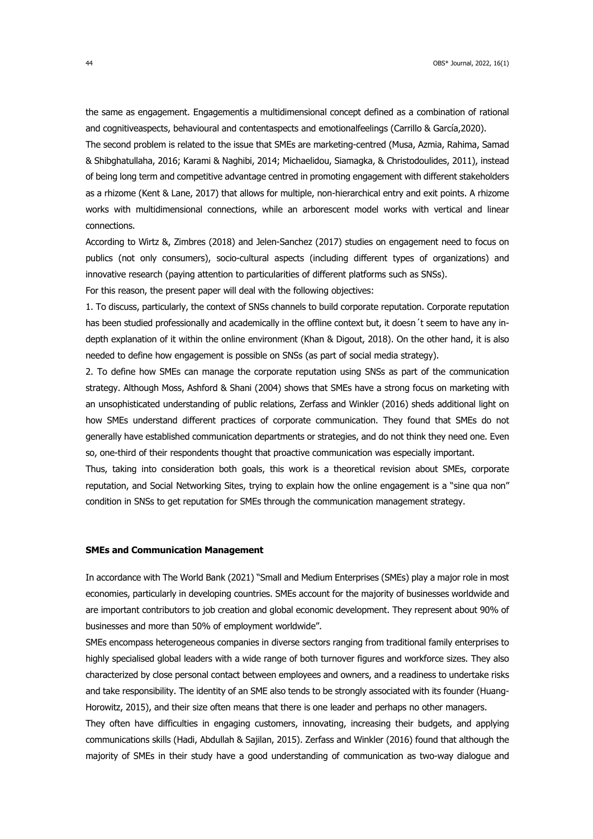the same as engagement. Engagementis a multidimensional concept defined as a combination of rational and cognitiveaspects, behavioural and contentaspects and emotionalfeelings (Carrillo & García,2020).

The second problem is related to the issue that SMEs are marketing-centred (Musa, Azmia, Rahima, Samad & Shibghatullaha, 2016; Karami & Naghibi, 2014; Michaelidou, Siamagka, & Christodoulides, 2011), instead of being long term and competitive advantage centred in promoting engagement with different stakeholders as a rhizome (Kent & Lane, 2017) that allows for multiple, non-hierarchical entry and exit points. A rhizome works with multidimensional connections, while an arborescent model works with vertical and linear connections.

According to Wirtz &, Zimbres (2018) and Jelen-Sanchez (2017) studies on engagement need to focus on publics (not only consumers), socio-cultural aspects (including different types of organizations) and innovative research (paying attention to particularities of different platforms such as SNSs).

For this reason, the present paper will deal with the following objectives:

1. To discuss, particularly, the context of SNSs channels to build corporate reputation. Corporate reputation has been studied professionally and academically in the offline context but, it doesn't seem to have any indepth explanation of it within the online environment (Khan & Digout, 2018). On the other hand, it is also needed to define how engagement is possible on SNSs (as part of social media strategy).

2. To define how SMEs can manage the corporate reputation using SNSs as part of the communication strategy. Although Moss, Ashford & Shani (2004) shows that SMEs have a strong focus on marketing with an unsophisticated understanding of public relations, Zerfass and Winkler (2016) sheds additional light on how SMEs understand different practices of corporate communication. They found that SMEs do not generally have established communication departments or strategies, and do not think they need one. Even so, one-third of their respondents thought that proactive communication was especially important.

Thus, taking into consideration both goals, this work is a theoretical revision about SMEs, corporate reputation, and Social Networking Sites, trying to explain how the online engagement is a "sine qua non" condition in SNSs to get reputation for SMEs through the communication management strategy.

## **SMEs and Communication Management**

In accordance with The World Bank (2021) "Small and Medium Enterprises (SMEs) play a major role in most economies, particularly in developing countries. SMEs account for the majority of businesses worldwide and are important contributors to job creation and global economic development. They represent about 90% of businesses and more than 50% of employment worldwide".

SMEs encompass heterogeneous companies in diverse sectors ranging from traditional family enterprises to highly specialised global leaders with a wide range of both turnover figures and workforce sizes. They also characterized by close personal contact between employees and owners, and a readiness to undertake risks and take responsibility. The identity of an SME also tends to be strongly associated with its founder (Huang-Horowitz, 2015), and their size often means that there is one leader and perhaps no other managers.

They often have difficulties in engaging customers, innovating, increasing their budgets, and applying communications skills (Hadi, Abdullah & Sajilan, 2015). Zerfass and Winkler (2016) found that although the majority of SMEs in their study have a good understanding of communication as two-way dialogue and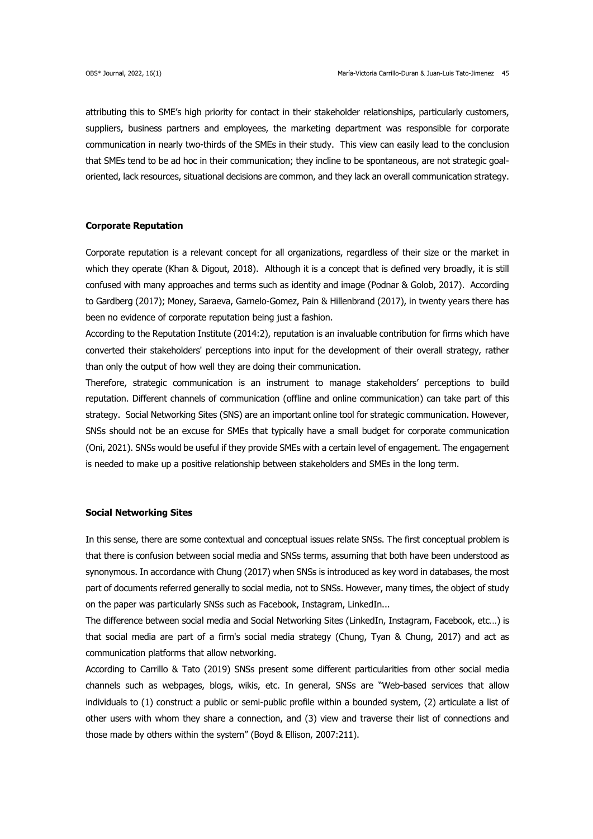attributing this to SME's high priority for contact in their stakeholder relationships, particularly customers, suppliers, business partners and employees, the marketing department was responsible for corporate communication in nearly two-thirds of the SMEs in their study. This view can easily lead to the conclusion that SMEs tend to be ad hoc in their communication; they incline to be spontaneous, are not strategic goaloriented, lack resources, situational decisions are common, and they lack an overall communication strategy.

## **Corporate Reputation**

Corporate reputation is a relevant concept for all organizations, regardless of their size or the market in which they operate (Khan & Digout, 2018). Although it is a concept that is defined very broadly, it is still confused with many approaches and terms such as identity and image (Podnar & Golob, 2017). According to Gardberg (2017); Money, Saraeva, Garnelo-Gomez, Pain & Hillenbrand (2017), in twenty years there has been no evidence of corporate reputation being just a fashion.

According to the Reputation Institute (2014:2), reputation is an invaluable contribution for firms which have converted their stakeholders' perceptions into input for the development of their overall strategy, rather than only the output of how well they are doing their communication.

Therefore, strategic communication is an instrument to manage stakeholders' perceptions to build reputation. Different channels of communication (offline and online communication) can take part of this strategy. Social Networking Sites (SNS) are an important online tool for strategic communication. However, SNSs should not be an excuse for SMEs that typically have a small budget for corporate communication (Oni, 2021). SNSs would be useful if they provide SMEs with a certain level of engagement. The engagement is needed to make up a positive relationship between stakeholders and SMEs in the long term.

## **Social Networking Sites**

In this sense, there are some contextual and conceptual issues relate SNSs. The first conceptual problem is that there is confusion between social media and SNSs terms, assuming that both have been understood as synonymous. In accordance with Chung (2017) when SNSs is introduced as key word in databases, the most part of documents referred generally to social media, not to SNSs. However, many times, the object of study on the paper was particularly SNSs such as Facebook, Instagram, LinkedIn...

The difference between social media and Social Networking Sites (LinkedIn, Instagram, Facebook, etc…) is that social media are part of a firm's social media strategy (Chung, Tyan & Chung, 2017) and act as communication platforms that allow networking.

According to Carrillo & Tato (2019) SNSs present some different particularities from other social media channels such as webpages, blogs, wikis, etc. In general, SNSs are "Web-based services that allow individuals to (1) construct a public or semi-public profile within a bounded system, (2) articulate a list of other users with whom they share a connection, and (3) view and traverse their list of connections and those made by others within the system" (Boyd & Ellison, 2007:211).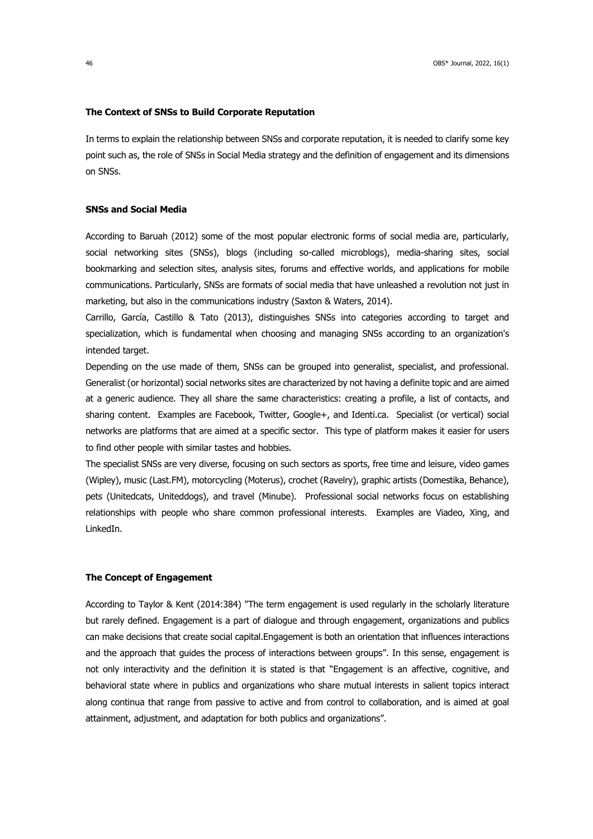#### **The Context of SNSs to Build Corporate Reputation**

In terms to explain the relationship between SNSs and corporate reputation, it is needed to clarify some key point such as, the role of SNSs in Social Media strategy and the definition of engagement and its dimensions on SNSs.

## **SNSs and Social Media**

According to Baruah (2012) some of the most popular electronic forms of social media are, particularly, social networking sites (SNSs), blogs (including so-called microblogs), media-sharing sites, social bookmarking and selection sites, analysis sites, forums and effective worlds, and applications for mobile communications. Particularly, SNSs are formats of social media that have unleashed a revolution not just in marketing, but also in the communications industry (Saxton & Waters, 2014).

Carrillo, García, Castillo & Tato (2013), distinguishes SNSs into categories according to target and specialization, which is fundamental when choosing and managing SNSs according to an organization's intended target.

Depending on the use made of them, SNSs can be grouped into generalist, specialist, and professional. Generalist (or horizontal) social networks sites are characterized by not having a definite topic and are aimed at a generic audience. They all share the same characteristics: creating a profile, a list of contacts, and sharing content. Examples are Facebook, Twitter, Google+, and Identi.ca. Specialist (or vertical) social networks are platforms that are aimed at a specific sector. This type of platform makes it easier for users to find other people with similar tastes and hobbies.

The specialist SNSs are very diverse, focusing on such sectors as sports, free time and leisure, video games (Wipley), music (Last.FM), motorcycling (Moterus), crochet (Ravelry), graphic artists (Domestika, Behance), pets (Unitedcats, Uniteddogs), and travel (Minube). Professional social networks focus on establishing relationships with people who share common professional interests. Examples are Viadeo, Xing, and LinkedIn.

## **The Concept of Engagement**

According to Taylor & Kent (2014:384) "The term engagement is used regularly in the scholarly literature but rarely defined. Engagement is a part of dialogue and through engagement, organizations and publics can make decisions that create social capital.Engagement is both an orientation that influences interactions and the approach that guides the process of interactions between groups". In this sense, engagement is not only interactivity and the definition it is stated is that "Engagement is an affective, cognitive, and behavioral state where in publics and organizations who share mutual interests in salient topics interact along continua that range from passive to active and from control to collaboration, and is aimed at goal attainment, adjustment, and adaptation for both publics and organizations".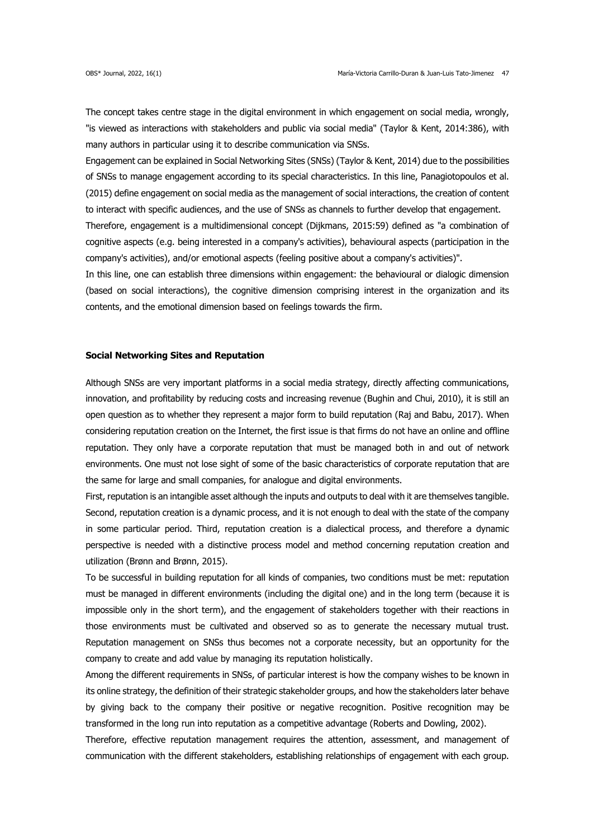The concept takes centre stage in the digital environment in which engagement on social media, wrongly, "is viewed as interactions with stakeholders and public via social media" (Taylor & Kent, 2014:386), with many authors in particular using it to describe communication via SNSs.

Engagement can be explained in Social Networking Sites (SNSs) (Taylor & Kent, 2014) due to the possibilities of SNSs to manage engagement according to its special characteristics. In this line, Panagiotopoulos et al. (2015) define engagement on social media as the management of social interactions, the creation of content to interact with specific audiences, and the use of SNSs as channels to further develop that engagement.

Therefore, engagement is a multidimensional concept (Dijkmans, 2015:59) defined as "a combination of cognitive aspects (e.g. being interested in a company's activities), behavioural aspects (participation in the company's activities), and/or emotional aspects (feeling positive about a company's activities)".

In this line, one can establish three dimensions within engagement: the behavioural or dialogic dimension (based on social interactions), the cognitive dimension comprising interest in the organization and its contents, and the emotional dimension based on feelings towards the firm.

## **Social Networking Sites and Reputation**

Although SNSs are very important platforms in a social media strategy, directly affecting communications, innovation, and profitability by reducing costs and increasing revenue (Bughin and Chui, 2010), it is still an open question as to whether they represent a major form to build reputation (Raj and Babu, 2017). When considering reputation creation on the Internet, the first issue is that firms do not have an online and offline reputation. They only have a corporate reputation that must be managed both in and out of network environments. One must not lose sight of some of the basic characteristics of corporate reputation that are the same for large and small companies, for analogue and digital environments.

First, reputation is an intangible asset although the inputs and outputs to deal with it are themselves tangible. Second, reputation creation is a dynamic process, and it is not enough to deal with the state of the company in some particular period. Third, reputation creation is a dialectical process, and therefore a dynamic perspective is needed with a distinctive process model and method concerning reputation creation and utilization (Brønn and Brønn, 2015).

To be successful in building reputation for all kinds of companies, two conditions must be met: reputation must be managed in different environments (including the digital one) and in the long term (because it is impossible only in the short term), and the engagement of stakeholders together with their reactions in those environments must be cultivated and observed so as to generate the necessary mutual trust. Reputation management on SNSs thus becomes not a corporate necessity, but an opportunity for the company to create and add value by managing its reputation holistically.

Among the different requirements in SNSs, of particular interest is how the company wishes to be known in its online strategy, the definition of their strategic stakeholder groups, and how the stakeholders later behave by giving back to the company their positive or negative recognition. Positive recognition may be transformed in the long run into reputation as a competitive advantage (Roberts and Dowling, 2002).

Therefore, effective reputation management requires the attention, assessment, and management of communication with the different stakeholders, establishing relationships of engagement with each group.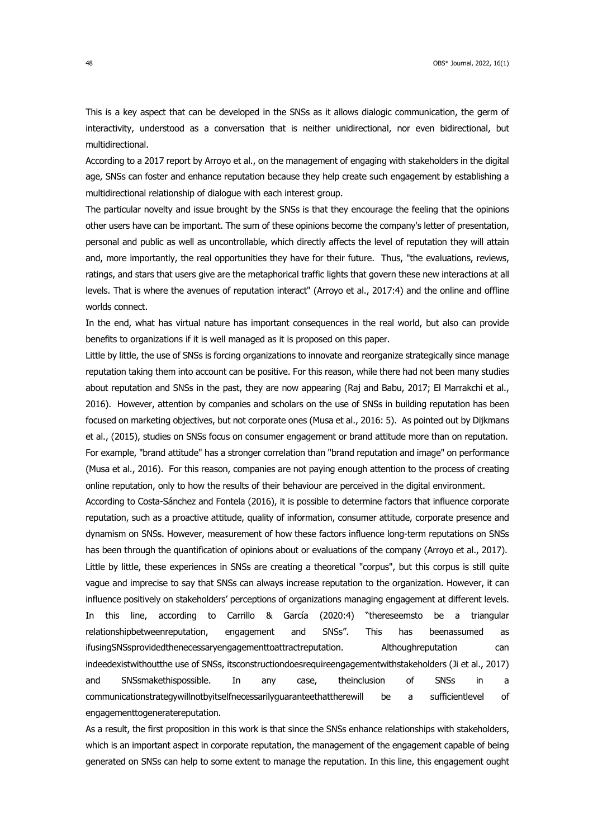This is a key aspect that can be developed in the SNSs as it allows dialogic communication, the germ of interactivity, understood as a conversation that is neither unidirectional, nor even bidirectional, but multidirectional.

According to a 2017 report by Arroyo et al., on the management of engaging with stakeholders in the digital age, SNSs can foster and enhance reputation because they help create such engagement by establishing a multidirectional relationship of dialogue with each interest group.

The particular novelty and issue brought by the SNSs is that they encourage the feeling that the opinions other users have can be important. The sum of these opinions become the company's letter of presentation, personal and public as well as uncontrollable, which directly affects the level of reputation they will attain and, more importantly, the real opportunities they have for their future. Thus, "the evaluations, reviews, ratings, and stars that users give are the metaphorical traffic lights that govern these new interactions at all levels. That is where the avenues of reputation interact" (Arroyo et al., 2017:4) and the online and offline worlds connect.

In the end, what has virtual nature has important consequences in the real world, but also can provide benefits to organizations if it is well managed as it is proposed on this paper.

Little by little, the use of SNSs is forcing organizations to innovate and reorganize strategically since manage reputation taking them into account can be positive. For this reason, while there had not been many studies about reputation and SNSs in the past, they are now appearing (Raj and Babu, 2017; El Marrakchi et al., 2016). However, attention by companies and scholars on the use of SNSs in building reputation has been focused on marketing objectives, but not corporate ones (Musa et al., 2016: 5). As pointed out by Dijkmans et al., (2015), studies on SNSs focus on consumer engagement or brand attitude more than on reputation. For example, "brand attitude" has a stronger correlation than "brand reputation and image" on performance (Musa et al., 2016). For this reason, companies are not paying enough attention to the process of creating online reputation, only to how the results of their behaviour are perceived in the digital environment.

According to Costa-Sánchez and Fontela (2016), it is possible to determine factors that influence corporate reputation, such as a proactive attitude, quality of information, consumer attitude, corporate presence and dynamism on SNSs. However, measurement of how these factors influence long-term reputations on SNSs has been through the quantification of opinions about or evaluations of the company (Arroyo et al., 2017). Little by little, these experiences in SNSs are creating a theoretical "corpus", but this corpus is still quite vague and imprecise to say that SNSs can always increase reputation to the organization. However, it can influence positively on stakeholders' perceptions of organizations managing engagement at different levels. In this line, according to Carrillo & García (2020:4) "thereseemsto be a triangular relationshipbetweenreputation, engagement and SNSs". This has beenassumed as ifusingSNSsprovidedthenecessaryengagementtoattractreputation. Althoughreputation can indeedexistwithoutthe use of SNSs, itsconstructiondoesrequireengagementwithstakeholders (Ji et al., 2017) and SNSsmakethispossible. In any case, theinclusion of SNSs in a communicationstrategywillnotbyitselfnecessarilyguaranteethattherewill be a sufficientlevel of engagementtogeneratereputation.

As a result, the first proposition in this work is that since the SNSs enhance relationships with stakeholders, which is an important aspect in corporate reputation, the management of the engagement capable of being generated on SNSs can help to some extent to manage the reputation. In this line, this engagement ought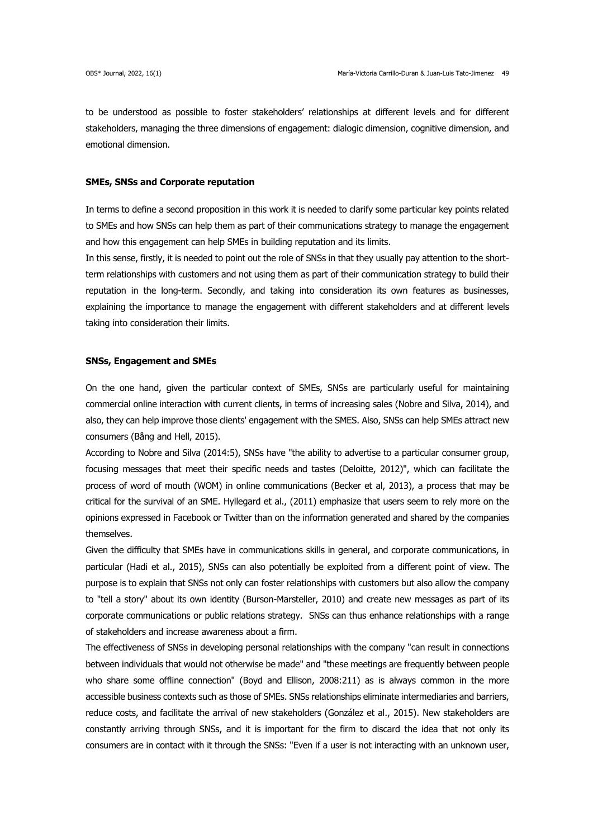to be understood as possible to foster stakeholders' relationships at different levels and for different stakeholders, managing the three dimensions of engagement: dialogic dimension, cognitive dimension, and emotional dimension.

## **SMEs, SNSs and Corporate reputation**

In terms to define a second proposition in this work it is needed to clarify some particular key points related to SMEs and how SNSs can help them as part of their communications strategy to manage the engagement and how this engagement can help SMEs in building reputation and its limits.

In this sense, firstly, it is needed to point out the role of SNSs in that they usually pay attention to the shortterm relationships with customers and not using them as part of their communication strategy to build their reputation in the long-term. Secondly, and taking into consideration its own features as businesses, explaining the importance to manage the engagement with different stakeholders and at different levels taking into consideration their limits.

### **SNSs, Engagement and SMEs**

On the one hand, given the particular context of SMEs, SNSs are particularly useful for maintaining commercial online interaction with current clients, in terms of increasing sales (Nobre and Silva, 2014), and also, they can help improve those clients' engagement with the SMES. Also, SNSs can help SMEs attract new consumers (Bång and Hell, 2015).

According to Nobre and Silva (2014:5), SNSs have "the ability to advertise to a particular consumer group, focusing messages that meet their specific needs and tastes (Deloitte, 2012)", which can facilitate the process of word of mouth (WOM) in online communications (Becker et al, 2013), a process that may be critical for the survival of an SME. Hyllegard et al., (2011) emphasize that users seem to rely more on the opinions expressed in Facebook or Twitter than on the information generated and shared by the companies themselves.

Given the difficulty that SMEs have in communications skills in general, and corporate communications, in particular (Hadi et al., 2015), SNSs can also potentially be exploited from a different point of view. The purpose is to explain that SNSs not only can foster relationships with customers but also allow the company to "tell a story" about its own identity (Burson-Marsteller, 2010) and create new messages as part of its corporate communications or public relations strategy. SNSs can thus enhance relationships with a range of stakeholders and increase awareness about a firm.

The effectiveness of SNSs in developing personal relationships with the company "can result in connections between individuals that would not otherwise be made" and "these meetings are frequently between people who share some offline connection" (Boyd and Ellison, 2008:211) as is always common in the more accessible business contexts such as those of SMEs. SNSs relationships eliminate intermediaries and barriers, reduce costs, and facilitate the arrival of new stakeholders (González et al., 2015). New stakeholders are constantly arriving through SNSs, and it is important for the firm to discard the idea that not only its consumers are in contact with it through the SNSs: "Even if a user is not interacting with an unknown user,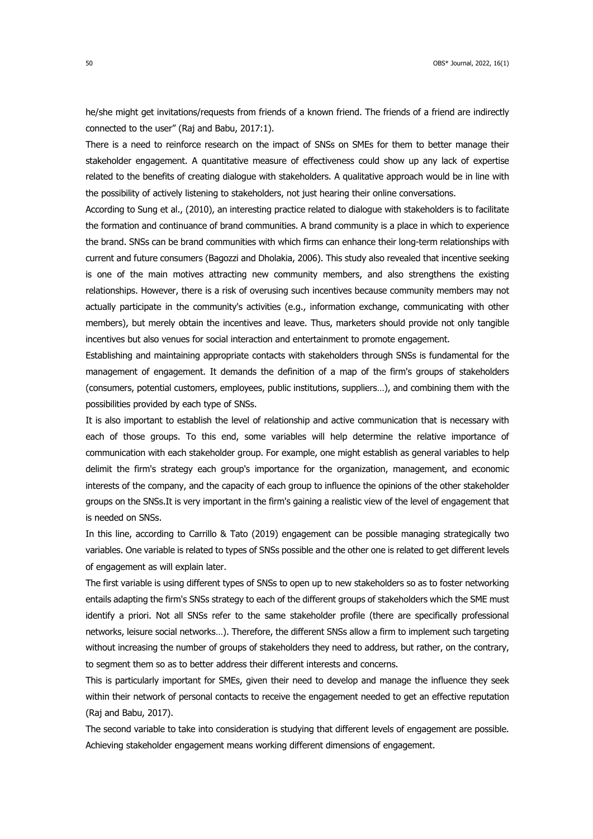he/she might get invitations/requests from friends of a known friend. The friends of a friend are indirectly connected to the user" (Raj and Babu, 2017:1).

There is a need to reinforce research on the impact of SNSs on SMEs for them to better manage their stakeholder engagement. A quantitative measure of effectiveness could show up any lack of expertise related to the benefits of creating dialogue with stakeholders. A qualitative approach would be in line with the possibility of actively listening to stakeholders, not just hearing their online conversations.

According to Sung et al., (2010), an interesting practice related to dialogue with stakeholders is to facilitate the formation and continuance of brand communities. A brand community is a place in which to experience the brand. SNSs can be brand communities with which firms can enhance their long-term relationships with current and future consumers (Bagozzi and Dholakia, 2006). This study also revealed that incentive seeking is one of the main motives attracting new community members, and also strengthens the existing relationships. However, there is a risk of overusing such incentives because community members may not actually participate in the community's activities (e.g., information exchange, communicating with other members), but merely obtain the incentives and leave. Thus, marketers should provide not only tangible incentives but also venues for social interaction and entertainment to promote engagement.

Establishing and maintaining appropriate contacts with stakeholders through SNSs is fundamental for the management of engagement. It demands the definition of a map of the firm's groups of stakeholders (consumers, potential customers, employees, public institutions, suppliers…), and combining them with the possibilities provided by each type of SNSs.

It is also important to establish the level of relationship and active communication that is necessary with each of those groups. To this end, some variables will help determine the relative importance of communication with each stakeholder group. For example, one might establish as general variables to help delimit the firm's strategy each group's importance for the organization, management, and economic interests of the company, and the capacity of each group to influence the opinions of the other stakeholder groups on the SNSs.It is very important in the firm's gaining a realistic view of the level of engagement that is needed on SNSs.

In this line, according to Carrillo & Tato (2019) engagement can be possible managing strategically two variables. One variable is related to types of SNSs possible and the other one is related to get different levels of engagement as will explain later.

The first variable is using different types of SNSs to open up to new stakeholders so as to foster networking entails adapting the firm's SNSs strategy to each of the different groups of stakeholders which the SME must identify a priori. Not all SNSs refer to the same stakeholder profile (there are specifically professional networks, leisure social networks…). Therefore, the different SNSs allow a firm to implement such targeting without increasing the number of groups of stakeholders they need to address, but rather, on the contrary, to segment them so as to better address their different interests and concerns.

This is particularly important for SMEs, given their need to develop and manage the influence they seek within their network of personal contacts to receive the engagement needed to get an effective reputation (Raj and Babu, 2017).

The second variable to take into consideration is studying that different levels of engagement are possible. Achieving stakeholder engagement means working different dimensions of engagement.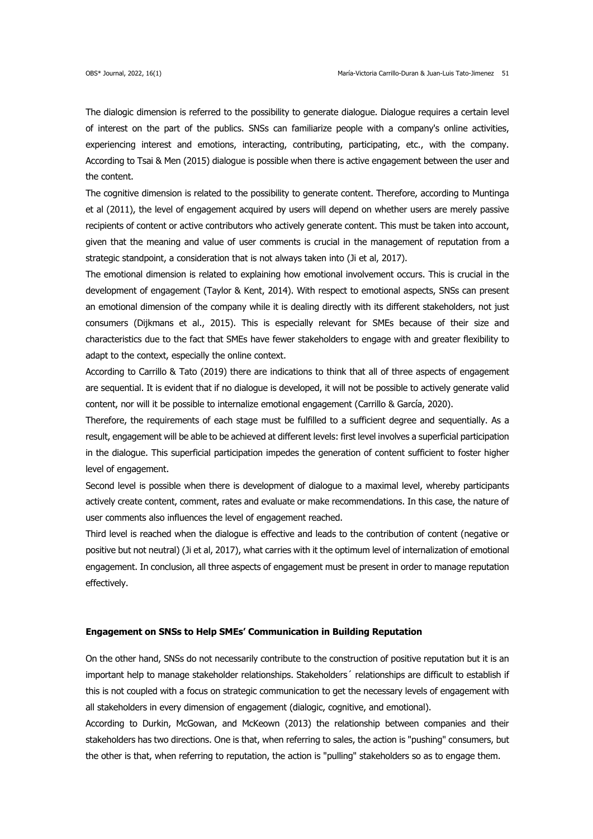The dialogic dimension is referred to the possibility to generate dialogue. Dialogue requires a certain level of interest on the part of the publics. SNSs can familiarize people with a company's online activities, experiencing interest and emotions, interacting, contributing, participating, etc., with the company. According to Tsai & Men (2015) dialogue is possible when there is active engagement between the user and the content.

The cognitive dimension is related to the possibility to generate content. Therefore, according to Muntinga et al (2011), the level of engagement acquired by users will depend on whether users are merely passive recipients of content or active contributors who actively generate content. This must be taken into account, given that the meaning and value of user comments is crucial in the management of reputation from a strategic standpoint, a consideration that is not always taken into (Ji et al, 2017).

The emotional dimension is related to explaining how emotional involvement occurs. This is crucial in the development of engagement (Taylor & Kent, 2014). With respect to emotional aspects, SNSs can present an emotional dimension of the company while it is dealing directly with its different stakeholders, not just consumers (Dijkmans et al., 2015). This is especially relevant for SMEs because of their size and characteristics due to the fact that SMEs have fewer stakeholders to engage with and greater flexibility to adapt to the context, especially the online context.

According to Carrillo & Tato (2019) there are indications to think that all of three aspects of engagement are sequential. It is evident that if no dialogue is developed, it will not be possible to actively generate valid content, nor will it be possible to internalize emotional engagement (Carrillo & García, 2020).

Therefore, the requirements of each stage must be fulfilled to a sufficient degree and sequentially. As a result, engagement will be able to be achieved at different levels: first level involves a superficial participation in the dialogue. This superficial participation impedes the generation of content sufficient to foster higher level of engagement.

Second level is possible when there is development of dialogue to a maximal level, whereby participants actively create content, comment, rates and evaluate or make recommendations. In this case, the nature of user comments also influences the level of engagement reached.

Third level is reached when the dialogue is effective and leads to the contribution of content (negative or positive but not neutral) (Ji et al, 2017), what carries with it the optimum level of internalization of emotional engagement. In conclusion, all three aspects of engagement must be present in order to manage reputation effectively.

#### **Engagement on SNSs to Help SMEs' Communication in Building Reputation**

On the other hand, SNSs do not necessarily contribute to the construction of positive reputation but it is an important help to manage stakeholder relationships. Stakeholders´ relationships are difficult to establish if this is not coupled with a focus on strategic communication to get the necessary levels of engagement with all stakeholders in every dimension of engagement (dialogic, cognitive, and emotional).

According to Durkin, McGowan, and McKeown (2013) the relationship between companies and their stakeholders has two directions. One is that, when referring to sales, the action is "pushing" consumers, but the other is that, when referring to reputation, the action is "pulling" stakeholders so as to engage them.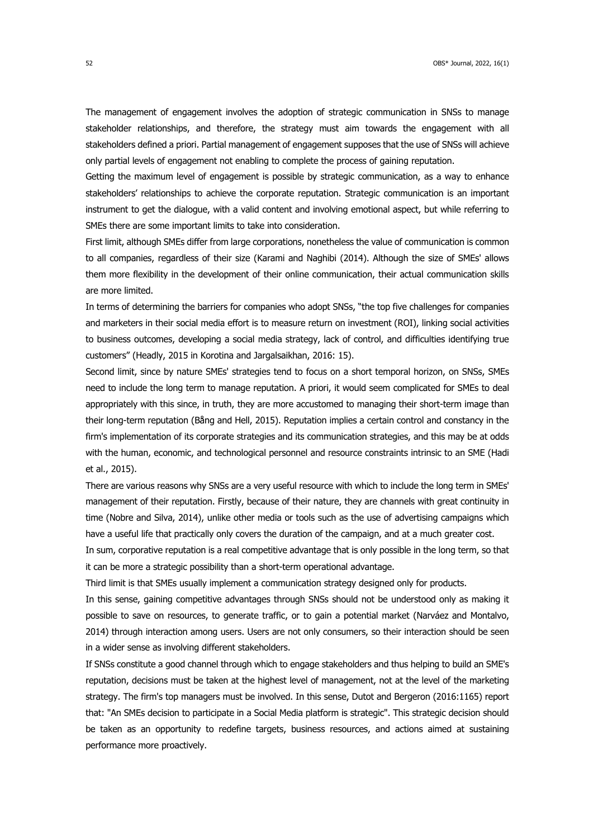The management of engagement involves the adoption of strategic communication in SNSs to manage stakeholder relationships, and therefore, the strategy must aim towards the engagement with all stakeholders defined a priori. Partial management of engagement supposes that the use of SNSs will achieve only partial levels of engagement not enabling to complete the process of gaining reputation.

Getting the maximum level of engagement is possible by strategic communication, as a way to enhance stakeholders' relationships to achieve the corporate reputation. Strategic communication is an important instrument to get the dialogue, with a valid content and involving emotional aspect, but while referring to SMEs there are some important limits to take into consideration.

First limit, although SMEs differ from large corporations, nonetheless the value of communication is common to all companies, regardless of their size (Karami and Naghibi (2014). Although the size of SMEs' allows them more flexibility in the development of their online communication, their actual communication skills are more limited.

In terms of determining the barriers for companies who adopt SNSs, "the top five challenges for companies and marketers in their social media effort is to measure return on investment (ROI), linking social activities to business outcomes, developing a social media strategy, lack of control, and difficulties identifying true customers" (Headly, 2015 in Korotina and Jargalsaikhan, 2016: 15).

Second limit, since by nature SMEs' strategies tend to focus on a short temporal horizon, on SNSs, SMEs need to include the long term to manage reputation. A priori, it would seem complicated for SMEs to deal appropriately with this since, in truth, they are more accustomed to managing their short-term image than their long-term reputation (Bång and Hell, 2015). Reputation implies a certain control and constancy in the firm's implementation of its corporate strategies and its communication strategies, and this may be at odds with the human, economic, and technological personnel and resource constraints intrinsic to an SME (Hadi et al., 2015).

There are various reasons why SNSs are a very useful resource with which to include the long term in SMEs' management of their reputation. Firstly, because of their nature, they are channels with great continuity in time (Nobre and Silva, 2014), unlike other media or tools such as the use of advertising campaigns which have a useful life that practically only covers the duration of the campaign, and at a much greater cost.

In sum, corporative reputation is a real competitive advantage that is only possible in the long term, so that it can be more a strategic possibility than a short-term operational advantage.

Third limit is that SMEs usually implement a communication strategy designed only for products.

In this sense, gaining competitive advantages through SNSs should not be understood only as making it possible to save on resources, to generate traffic, or to gain a potential market (Narváez and Montalvo, 2014) through interaction among users. Users are not only consumers, so their interaction should be seen in a wider sense as involving different stakeholders.

If SNSs constitute a good channel through which to engage stakeholders and thus helping to build an SME's reputation, decisions must be taken at the highest level of management, not at the level of the marketing strategy. The firm's top managers must be involved. In this sense, Dutot and Bergeron (2016:1165) report that: "An SMEs decision to participate in a Social Media platform is strategic". This strategic decision should be taken as an opportunity to redefine targets, business resources, and actions aimed at sustaining performance more proactively.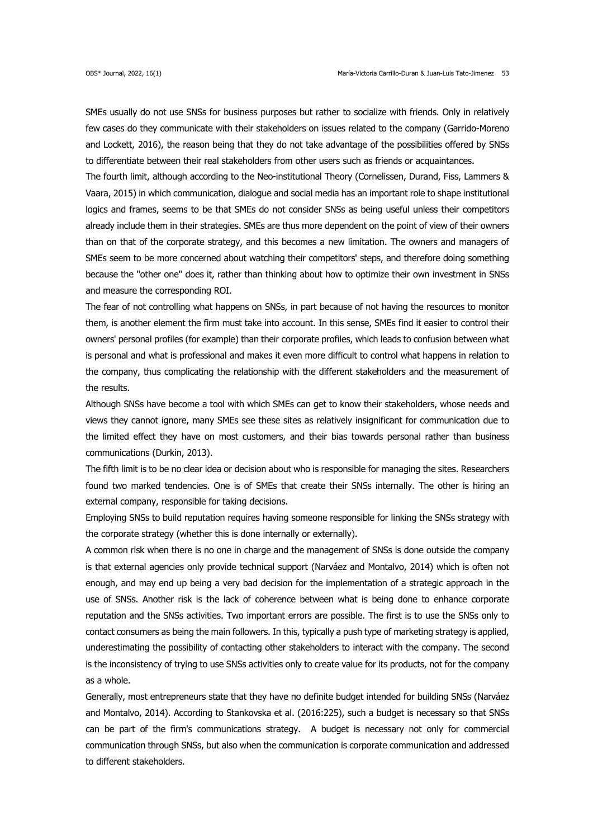SMEs usually do not use SNSs for business purposes but rather to socialize with friends. Only in relatively few cases do they communicate with their stakeholders on issues related to the company (Garrido-Moreno and Lockett, 2016), the reason being that they do not take advantage of the possibilities offered by SNSs to differentiate between their real stakeholders from other users such as friends or acquaintances.

The fourth limit, although according to the Neo-institutional Theory (Cornelissen, Durand, Fiss, Lammers & Vaara, 2015) in which communication, dialogue and social media has an important role to shape institutional logics and frames, seems to be that SMEs do not consider SNSs as being useful unless their competitors already include them in their strategies. SMEs are thus more dependent on the point of view of their owners than on that of the corporate strategy, and this becomes a new limitation. The owners and managers of SMEs seem to be more concerned about watching their competitors' steps, and therefore doing something because the "other one" does it, rather than thinking about how to optimize their own investment in SNSs and measure the corresponding ROI.

The fear of not controlling what happens on SNSs, in part because of not having the resources to monitor them, is another element the firm must take into account. In this sense, SMEs find it easier to control their owners' personal profiles (for example) than their corporate profiles, which leads to confusion between what is personal and what is professional and makes it even more difficult to control what happens in relation to the company, thus complicating the relationship with the different stakeholders and the measurement of the results.

Although SNSs have become a tool with which SMEs can get to know their stakeholders, whose needs and views they cannot ignore, many SMEs see these sites as relatively insignificant for communication due to the limited effect they have on most customers, and their bias towards personal rather than business communications (Durkin, 2013).

The fifth limit is to be no clear idea or decision about who is responsible for managing the sites. Researchers found two marked tendencies. One is of SMEs that create their SNSs internally. The other is hiring an external company, responsible for taking decisions.

Employing SNSs to build reputation requires having someone responsible for linking the SNSs strategy with the corporate strategy (whether this is done internally or externally).

A common risk when there is no one in charge and the management of SNSs is done outside the company is that external agencies only provide technical support (Narváez and Montalvo, 2014) which is often not enough, and may end up being a very bad decision for the implementation of a strategic approach in the use of SNSs. Another risk is the lack of coherence between what is being done to enhance corporate reputation and the SNSs activities. Two important errors are possible. The first is to use the SNSs only to contact consumers as being the main followers. In this, typically a push type of marketing strategy is applied, underestimating the possibility of contacting other stakeholders to interact with the company. The second is the inconsistency of trying to use SNSs activities only to create value for its products, not for the company as a whole.

Generally, most entrepreneurs state that they have no definite budget intended for building SNSs (Narváez and Montalvo, 2014). According to Stankovska et al. (2016:225), such a budget is necessary so that SNSs can be part of the firm's communications strategy. A budget is necessary not only for commercial communication through SNSs, but also when the communication is corporate communication and addressed to different stakeholders.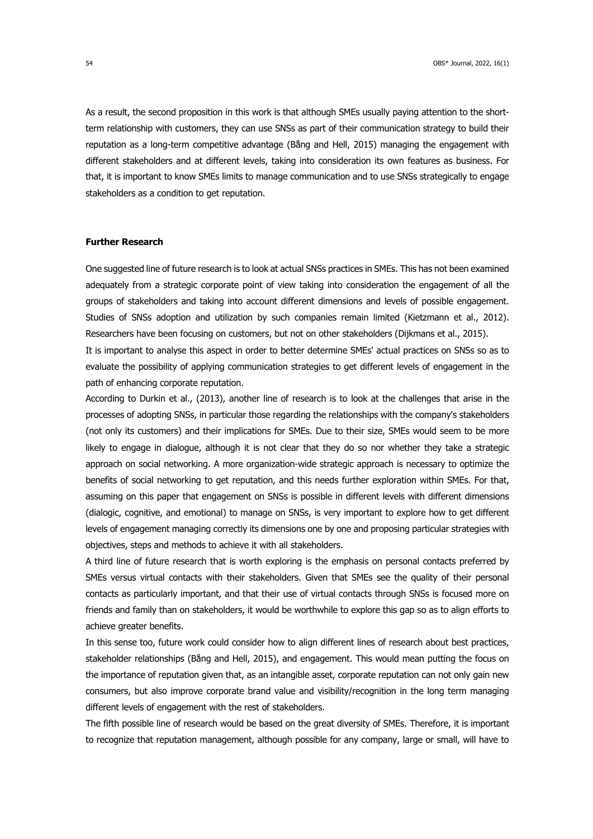As a result, the second proposition in this work is that although SMEs usually paying attention to the shortterm relationship with customers, they can use SNSs as part of their communication strategy to build their reputation as a long-term competitive advantage (Bång and Hell, 2015) managing the engagement with different stakeholders and at different levels, taking into consideration its own features as business. For that, it is important to know SMEs limits to manage communication and to use SNSs strategically to engage stakeholders as a condition to get reputation.

## **Further Research**

One suggested line of future research is to look at actual SNSs practices in SMEs. This has not been examined adequately from a strategic corporate point of view taking into consideration the engagement of all the groups of stakeholders and taking into account different dimensions and levels of possible engagement. Studies of SNSs adoption and utilization by such companies remain limited (Kietzmann et al., 2012). Researchers have been focusing on customers, but not on other stakeholders (Dijkmans et al., 2015).

It is important to analyse this aspect in order to better determine SMEs' actual practices on SNSs so as to evaluate the possibility of applying communication strategies to get different levels of engagement in the path of enhancing corporate reputation.

According to Durkin et al., (2013), another line of research is to look at the challenges that arise in the processes of adopting SNSs, in particular those regarding the relationships with the company's stakeholders (not only its customers) and their implications for SMEs. Due to their size, SMEs would seem to be more likely to engage in dialogue, although it is not clear that they do so nor whether they take a strategic approach on social networking. A more organization-wide strategic approach is necessary to optimize the benefits of social networking to get reputation, and this needs further exploration within SMEs. For that, assuming on this paper that engagement on SNSs is possible in different levels with different dimensions (dialogic, cognitive, and emotional) to manage on SNSs, is very important to explore how to get different levels of engagement managing correctly its dimensions one by one and proposing particular strategies with objectives, steps and methods to achieve it with all stakeholders.

A third line of future research that is worth exploring is the emphasis on personal contacts preferred by SMEs versus virtual contacts with their stakeholders. Given that SMEs see the quality of their personal contacts as particularly important, and that their use of virtual contacts through SNSs is focused more on friends and family than on stakeholders, it would be worthwhile to explore this gap so as to align efforts to achieve greater benefits.

In this sense too, future work could consider how to align different lines of research about best practices, stakeholder relationships (Bång and Hell, 2015), and engagement. This would mean putting the focus on the importance of reputation given that, as an intangible asset, corporate reputation can not only gain new consumers, but also improve corporate brand value and visibility/recognition in the long term managing different levels of engagement with the rest of stakeholders.

The fifth possible line of research would be based on the great diversity of SMEs. Therefore, it is important to recognize that reputation management, although possible for any company, large or small, will have to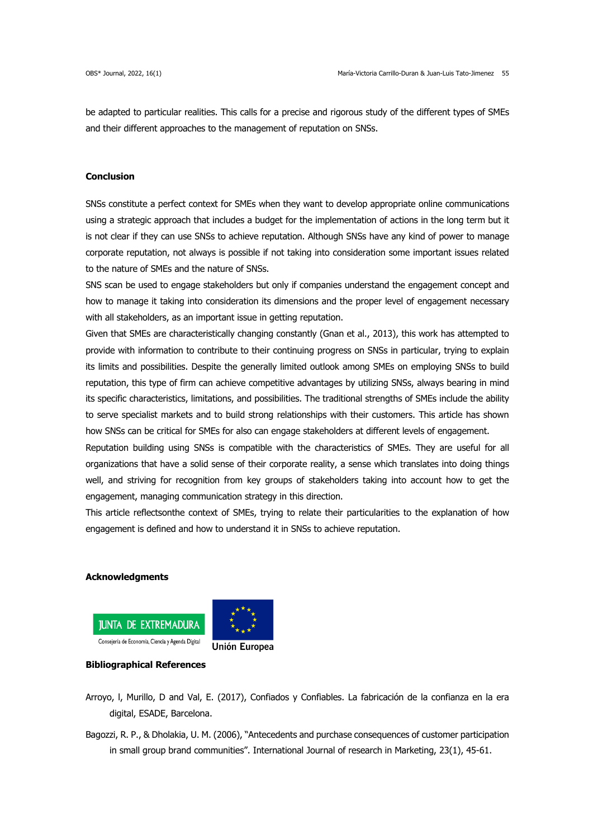be adapted to particular realities. This calls for a precise and rigorous study of the different types of SMEs and their different approaches to the management of reputation on SNSs.

## **Conclusion**

SNSs constitute a perfect context for SMEs when they want to develop appropriate online communications using a strategic approach that includes a budget for the implementation of actions in the long term but it is not clear if they can use SNSs to achieve reputation. Although SNSs have any kind of power to manage corporate reputation, not always is possible if not taking into consideration some important issues related to the nature of SMEs and the nature of SNSs.

SNS scan be used to engage stakeholders but only if companies understand the engagement concept and how to manage it taking into consideration its dimensions and the proper level of engagement necessary with all stakeholders, as an important issue in getting reputation.

Given that SMEs are characteristically changing constantly (Gnan et al., 2013), this work has attempted to provide with information to contribute to their continuing progress on SNSs in particular, trying to explain its limits and possibilities. Despite the generally limited outlook among SMEs on employing SNSs to build reputation, this type of firm can achieve competitive advantages by utilizing SNSs, always bearing in mind its specific characteristics, limitations, and possibilities. The traditional strengths of SMEs include the ability to serve specialist markets and to build strong relationships with their customers. This article has shown how SNSs can be critical for SMEs for also can engage stakeholders at different levels of engagement.

Reputation building using SNSs is compatible with the characteristics of SMEs. They are useful for all organizations that have a solid sense of their corporate reality, a sense which translates into doing things well, and striving for recognition from key groups of stakeholders taking into account how to get the engagement, managing communication strategy in this direction.

This article reflectsonthe context of SMEs, trying to relate their particularities to the explanation of how engagement is defined and how to understand it in SNSs to achieve reputation.

## **Acknowledgments**





## **Bibliographical References**

- Arroyo, l, Murillo, D and Val, E. (2017), Confiados y Confiables. La fabricación de la confianza en la era digital, ESADE, Barcelona.
- Bagozzi, R. P., & Dholakia, U. M. (2006), "Antecedents and purchase consequences of customer participation in small group brand communities". International Journal of research in Marketing, 23(1), 45-61.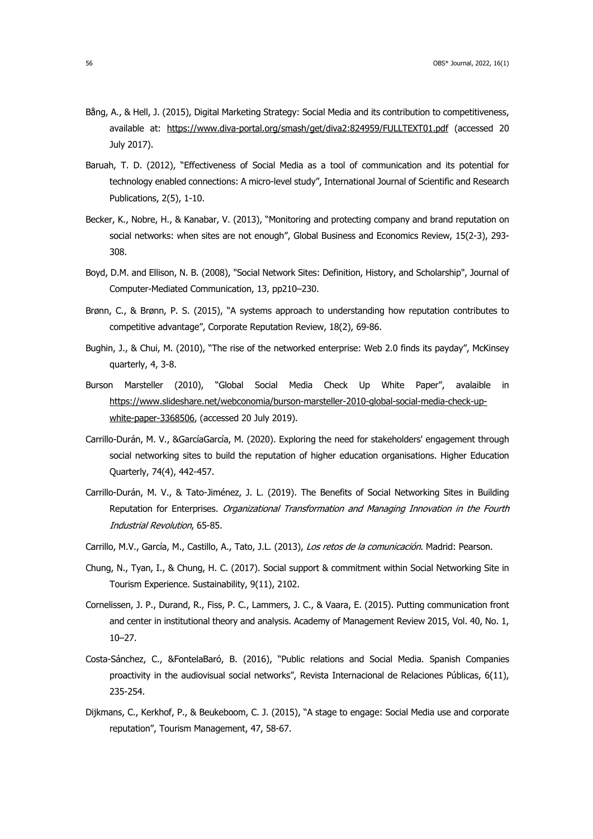- Bång, A., & Hell, J. (2015), Digital Marketing Strategy: Social Media and its contribution to competitiveness, available at: https://www.diva-portal.org/smash/get/diva2:824959/FULLTEXT01.pdf (accessed 20 July 2017).
- Baruah, T. D. (2012), "Effectiveness of Social Media as a tool of communication and its potential for technology enabled connections: A micro-level study", International Journal of Scientific and Research Publications, 2(5), 1-10.
- Becker, K., Nobre, H., & Kanabar, V. (2013), "Monitoring and protecting company and brand reputation on social networks: when sites are not enough", Global Business and Economics Review, 15(2-3), 293- 308.
- Boyd, D.M. and Ellison, N. B. (2008), "Social Network Sites: Definition, History, and Scholarship", Journal of Computer-Mediated Communication, 13, pp210–230.
- Brønn, C., & Brønn, P. S. (2015), "A systems approach to understanding how reputation contributes to competitive advantage", Corporate Reputation Review, 18(2), 69-86.
- Bughin, J., & Chui, M. (2010), "The rise of the networked enterprise: Web 2.0 finds its payday", McKinsey quarterly, 4, 3-8.
- Burson Marsteller (2010), "Global Social Media Check Up White Paper", avalaible in https://www.slideshare.net/webconomia/burson-marsteller-2010-global-social-media-check-upwhite-paper-3368506, (accessed 20 July 2019).
- Carrillo-Durán, M. V., &GarcíaGarcía, M. (2020). Exploring the need for stakeholders' engagement through social networking sites to build the reputation of higher education organisations. Higher Education Quarterly, 74(4), 442-457.
- Carrillo-Durán, M. V., & Tato-Jiménez, J. L. (2019). The Benefits of Social Networking Sites in Building Reputation for Enterprises. Organizational Transformation and Managing Innovation in the Fourth Industrial Revolution, 65-85.
- Carrillo, M.V., García, M., Castillo, A., Tato, J.L. (2013), Los retos de la comunicación. Madrid: Pearson.
- Chung, N., Tyan, I., & Chung, H. C. (2017). Social support & commitment within Social Networking Site in Tourism Experience. Sustainability, 9(11), 2102.
- Cornelissen, J. P., Durand, R., Fiss, P. C., Lammers, J. C., & Vaara, E. (2015). Putting communication front and center in institutional theory and analysis. Academy of Management Review 2015, Vol. 40, No. 1, 10–27.
- Costa-Sánchez, C., &FontelaBaró, B. (2016), "Public relations and Social Media. Spanish Companies proactivity in the audiovisual social networks", Revista Internacional de Relaciones Públicas, 6(11), 235-254.
- Dijkmans, C., Kerkhof, P., & Beukeboom, C. J. (2015), "A stage to engage: Social Media use and corporate reputation", Tourism Management, 47, 58-67.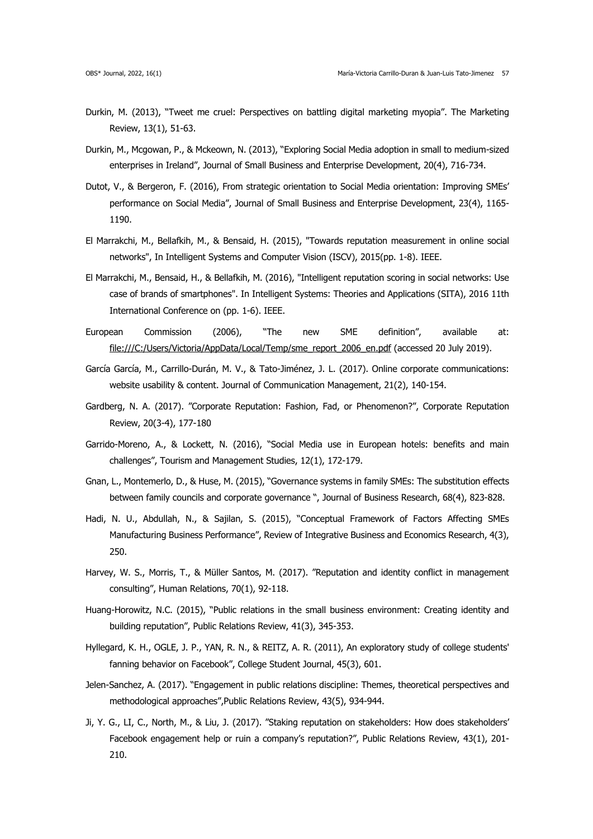- Durkin, M. (2013), "Tweet me cruel: Perspectives on battling digital marketing myopia". The Marketing Review, 13(1), 51-63.
- Durkin, M., Mcgowan, P., & Mckeown, N. (2013), "Exploring Social Media adoption in small to medium-sized enterprises in Ireland", Journal of Small Business and Enterprise Development, 20(4), 716-734.
- Dutot, V., & Bergeron, F. (2016), From strategic orientation to Social Media orientation: Improving SMEs' performance on Social Media", Journal of Small Business and Enterprise Development, 23(4), 1165- 1190.
- El Marrakchi, M., Bellafkih, M., & Bensaid, H. (2015), "Towards reputation measurement in online social networks", In Intelligent Systems and Computer Vision (ISCV), 2015(pp. 1-8). IEEE.
- El Marrakchi, M., Bensaid, H., & Bellafkih, M. (2016), "Intelligent reputation scoring in social networks: Use case of brands of smartphones". In Intelligent Systems: Theories and Applications (SITA), 2016 11th International Conference on (pp. 1-6). IEEE.
- European Commission (2006), "The new SME definition", available at: file:///C:/Users/Victoria/AppData/Local/Temp/sme\_report\_2006\_en.pdf (accessed 20 July 2019).
- García García, M., Carrillo-Durán, M. V., & Tato-Jiménez, J. L. (2017). Online corporate communications: website usability & content. Journal of Communication Management, 21(2), 140-154.
- Gardberg, N. A. (2017). "Corporate Reputation: Fashion, Fad, or Phenomenon?", Corporate Reputation Review, 20(3-4), 177-180
- Garrido-Moreno, A., & Lockett, N. (2016), "Social Media use in European hotels: benefits and main challenges", Tourism and Management Studies, 12(1), 172-179.
- Gnan, L., Montemerlo, D., & Huse, M. (2015), "Governance systems in family SMEs: The substitution effects between family councils and corporate governance ", Journal of Business Research, 68(4), 823-828.
- Hadi, N. U., Abdullah, N., & Sajilan, S. (2015), "Conceptual Framework of Factors Affecting SMEs Manufacturing Business Performance", Review of Integrative Business and Economics Research, 4(3), 250.
- Harvey, W. S., Morris, T., & Müller Santos, M. (2017). "Reputation and identity conflict in management consulting", Human Relations, 70(1), 92-118.
- Huang-Horowitz, N.C. (2015), "Public relations in the small business environment: Creating identity and building reputation", Public Relations Review, 41(3), 345-353.
- Hyllegard, K. H., OGLE, J. P., YAN, R. N., & REITZ, A. R. (2011), An exploratory study of college students' fanning behavior on Facebook", College Student Journal, 45(3), 601.
- Jelen-Sanchez, A. (2017). "Engagement in public relations discipline: Themes, theoretical perspectives and methodological approaches",Public Relations Review, 43(5), 934-944.
- Ji, Y. G., LI, C., North, M., & Liu, J. (2017). "Staking reputation on stakeholders: How does stakeholders' Facebook engagement help or ruin a company's reputation?", Public Relations Review, 43(1), 201- 210.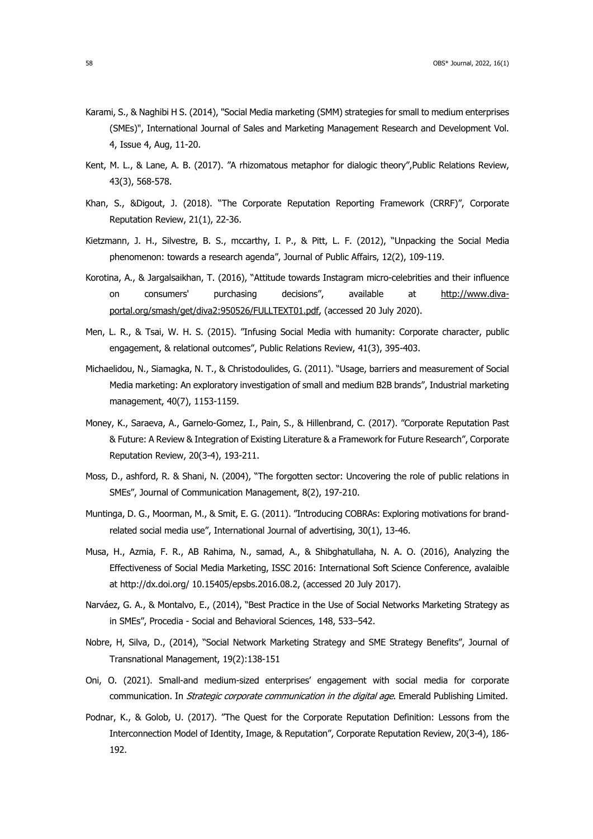- Karami, S., & Naghibi H S. (2014), "Social Media marketing (SMM) strategies for small to medium enterprises (SMEs)", International Journal of Sales and Marketing Management Research and Development Vol. 4, Issue 4, Aug, 11-20.
- Kent, M. L., & Lane, A. B. (2017). "A rhizomatous metaphor for dialogic theory",Public Relations Review, 43(3), 568-578.
- Khan, S., &Digout, J. (2018). "The Corporate Reputation Reporting Framework (CRRF)", Corporate Reputation Review, 21(1), 22-36.
- Kietzmann, J. H., Silvestre, B. S., mccarthy, I. P., & Pitt, L. F. (2012), "Unpacking the Social Media phenomenon: towards a research agenda", Journal of Public Affairs, 12(2), 109-119.
- Korotina, A., & Jargalsaikhan, T. (2016), "Attitude towards Instagram micro-celebrities and their influence on consumers' purchasing decisions", available at http://www.divaportal.org/smash/get/diva2:950526/FULLTEXT01.pdf, (accessed 20 July 2020).
- Men, L. R., & Tsai, W. H. S. (2015). "Infusing Social Media with humanity: Corporate character, public engagement, & relational outcomes", Public Relations Review, 41(3), 395-403.
- Michaelidou, N., Siamagka, N. T., & Christodoulides, G. (2011). "Usage, barriers and measurement of Social Media marketing: An exploratory investigation of small and medium B2B brands", Industrial marketing management, 40(7), 1153-1159.
- Money, K., Saraeva, A., Garnelo-Gomez, I., Pain, S., & Hillenbrand, C. (2017). "Corporate Reputation Past & Future: A Review & Integration of Existing Literature & a Framework for Future Research", Corporate Reputation Review, 20(3-4), 193-211.
- Moss, D., ashford, R. & Shani, N. (2004), "The forgotten sector: Uncovering the role of public relations in SMEs", Journal of Communication Management, 8(2), 197-210.
- Muntinga, D. G., Moorman, M., & Smit, E. G. (2011). "Introducing COBRAs: Exploring motivations for brandrelated social media use", International Journal of advertising, 30(1), 13-46.
- Musa, H., Azmia, F. R., AB Rahima, N., samad, A., & Shibghatullaha, N. A. O. (2016), Analyzing the Effectiveness of Social Media Marketing, ISSC 2016: International Soft Science Conference, avalaible at http://dx.doi.org/ 10.15405/epsbs.2016.08.2, (accessed 20 July 2017).
- Narváez, G. A., & Montalvo, E., (2014), "Best Practice in the Use of Social Networks Marketing Strategy as in SMEs", Procedia - Social and Behavioral Sciences, 148, 533–542.
- Nobre, H, Silva, D., (2014), "Social Network Marketing Strategy and SME Strategy Benefits", Journal of Transnational Management, 19(2):138-151
- Oni, O. (2021). Small-and medium-sized enterprises' engagement with social media for corporate communication. In Strategic corporate communication in the digital age. Emerald Publishing Limited.
- Podnar, K., & Golob, U. (2017). "The Quest for the Corporate Reputation Definition: Lessons from the Interconnection Model of Identity, Image, & Reputation", Corporate Reputation Review, 20(3-4), 186- 192.